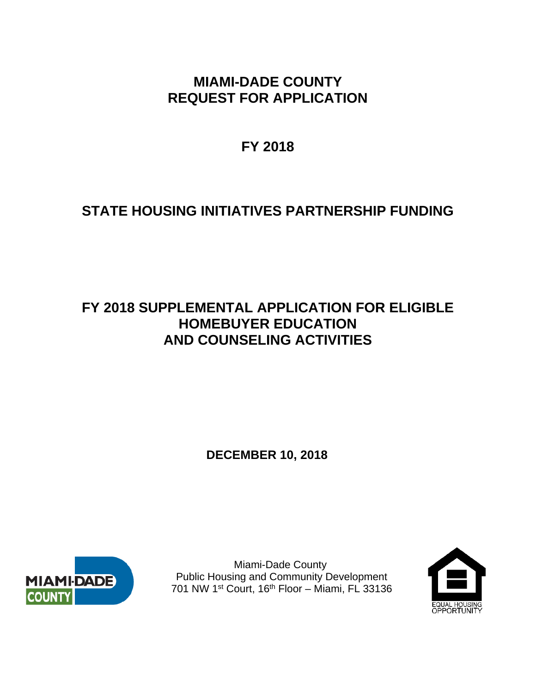# **MIAMI-DADE COUNTY REQUEST FOR APPLICATION**

**FY 2018** 

# **STATE HOUSING INITIATIVES PARTNERSHIP FUNDING**

# **FY 2018 SUPPLEMENTAL APPLICATION FOR ELIGIBLE HOMEBUYER EDUCATION AND COUNSELING ACTIVITIES**

**DECEMBER 10, 2018**



 Miami-Dade County Public Housing and Community Development 701 NW 1st Court, 16th Floor – Miami, FL 33136

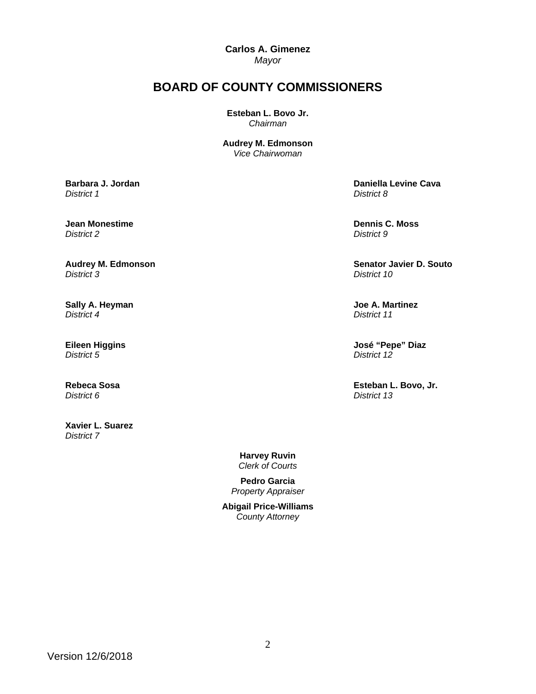**Carlos A. Gimenez** 

*Mayor* 

# **BOARD OF COUNTY COMMISSIONERS**

**Esteban L. Bovo Jr.**  *Chairman* 

**Audrey M. Edmonson** *Vice Chairwoman*

**Barbara J. Jordan**  *District 1*

**Jean Monestime**  *District 2*

**Audrey M. Edmonson**  *District 3*

**Sally A. Heyman**  *District 4*

**Eileen Higgins**  *District 5*

**Rebeca Sosa**  *District 6*

**Xavier L. Suarez**  *District 7* 

 **Daniella Levine Cava**  *District 8*

 **Dennis C. Moss**  *District 9*

 **Senator Javier D. Souto**  *District 10*

 **Joe A. Martinez**  *District 11*

 **José "Pepe" Diaz**  *District 12*

 **Esteban L. Bovo, Jr.**  *District 13*

**Harvey Ruvin**  *Clerk of Courts* 

**Pedro Garcia**  *Property Appraiser*

**Abigail Price-Williams**  *County Attorney*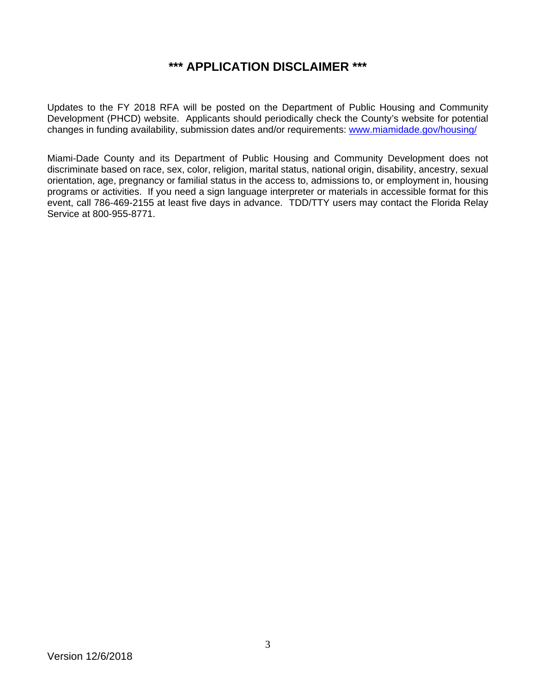# **\*\*\* APPLICATION DISCLAIMER \*\*\***

Updates to the FY 2018 RFA will be posted on the Department of Public Housing and Community Development (PHCD) website. Applicants should periodically check the County's website for potential changes in funding availability, submission dates and/or requirements: www.miamidade.gov/housing/

Miami-Dade County and its Department of Public Housing and Community Development does not discriminate based on race, sex, color, religion, marital status, national origin, disability, ancestry, sexual orientation, age, pregnancy or familial status in the access to, admissions to, or employment in, housing programs or activities. If you need a sign language interpreter or materials in accessible format for this event, call 786-469-2155 at least five days in advance. TDD/TTY users may contact the Florida Relay Service at 800-955-8771.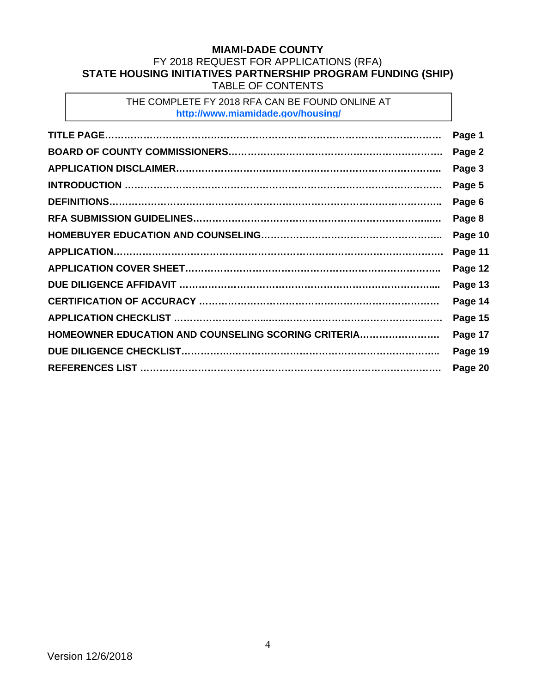## **MIAMI-DADE COUNTY**  FY 2018 REQUEST FOR APPLICATIONS (RFA) **STATE HOUSING INITIATIVES PARTNERSHIP PROGRAM FUNDING (SHIP)**  TABLE OF CONTENTS

THE COMPLETE FY 2018 RFA CAN BE FOUND ONLINE AT **http://www.miamidade.gov/housing/**

|                                                     | Page 1  |
|-----------------------------------------------------|---------|
|                                                     | Page 2  |
|                                                     | Page 3  |
|                                                     | Page 5  |
|                                                     | Page 6  |
|                                                     | Page 8  |
|                                                     | Page 10 |
|                                                     | Page 11 |
|                                                     | Page 12 |
|                                                     | Page 13 |
|                                                     | Page 14 |
|                                                     | Page 15 |
| HOMEOWNER EDUCATION AND COUNSELING SCORING CRITERIA | Page 17 |
|                                                     | Page 19 |
|                                                     | Page 20 |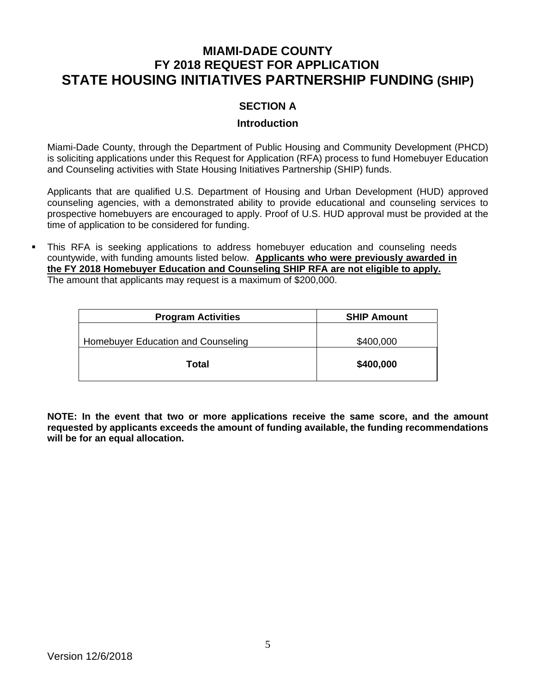# **MIAMI-DADE COUNTY FY 2018 REQUEST FOR APPLICATION STATE HOUSING INITIATIVES PARTNERSHIP FUNDING (SHIP)**

# **SECTION A**

#### **Introduction**

Miami-Dade County, through the Department of Public Housing and Community Development (PHCD) is soliciting applications under this Request for Application (RFA) process to fund Homebuyer Education and Counseling activities with State Housing Initiatives Partnership (SHIP) funds.

Applicants that are qualified U.S. Department of Housing and Urban Development (HUD) approved counseling agencies, with a demonstrated ability to provide educational and counseling services to prospective homebuyers are encouraged to apply. Proof of U.S. HUD approval must be provided at the time of application to be considered for funding.

 This RFA is seeking applications to address homebuyer education and counseling needs countywide, with funding amounts listed below. **Applicants who were previously awarded in the FY 2018 Homebuyer Education and Counseling SHIP RFA are not eligible to apply.**  The amount that applicants may request is a maximum of \$200,000.

| <b>Program Activities</b>          | <b>SHIP Amount</b> |
|------------------------------------|--------------------|
| Homebuyer Education and Counseling | \$400,000          |
| Total                              | \$400,000          |

**NOTE: In the event that two or more applications receive the same score, and the amount requested by applicants exceeds the amount of funding available, the funding recommendations will be for an equal allocation.**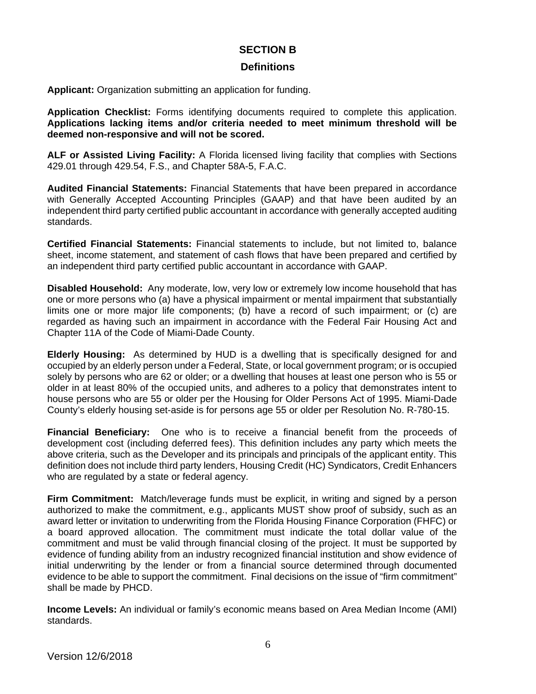## **SECTION B**

#### **Definitions**

**Applicant:** Organization submitting an application for funding.

**Application Checklist:** Forms identifying documents required to complete this application. **Applications lacking items and/or criteria needed to meet minimum threshold will be deemed non-responsive and will not be scored.** 

**ALF or Assisted Living Facility:** A Florida licensed living facility that complies with Sections 429.01 through 429.54, F.S., and Chapter 58A-5, F.A.C.

**Audited Financial Statements:** Financial Statements that have been prepared in accordance with Generally Accepted Accounting Principles (GAAP) and that have been audited by an independent third party certified public accountant in accordance with generally accepted auditing standards.

**Certified Financial Statements:** Financial statements to include, but not limited to, balance sheet, income statement, and statement of cash flows that have been prepared and certified by an independent third party certified public accountant in accordance with GAAP.

**Disabled Household:** Any moderate, low, very low or extremely low income household that has one or more persons who (a) have a physical impairment or mental impairment that substantially limits one or more major life components; (b) have a record of such impairment; or (c) are regarded as having such an impairment in accordance with the Federal Fair Housing Act and Chapter 11A of the Code of Miami-Dade County.

**Elderly Housing:** As determined by HUD is a dwelling that is specifically designed for and occupied by an elderly person under a Federal, State, or local government program; or is occupied solely by persons who are 62 or older; or a dwelling that houses at least one person who is 55 or older in at least 80% of the occupied units, and adheres to a policy that demonstrates intent to house persons who are 55 or older per the Housing for Older Persons Act of 1995. Miami-Dade County's elderly housing set-aside is for persons age 55 or older per Resolution No. R-780-15.

**Financial Beneficiary:** One who is to receive a financial benefit from the proceeds of development cost (including deferred fees). This definition includes any party which meets the above criteria, such as the Developer and its principals and principals of the applicant entity. This definition does not include third party lenders, Housing Credit (HC) Syndicators, Credit Enhancers who are regulated by a state or federal agency.

**Firm Commitment:** Match/leverage funds must be explicit, in writing and signed by a person authorized to make the commitment, e.g., applicants MUST show proof of subsidy, such as an award letter or invitation to underwriting from the Florida Housing Finance Corporation (FHFC) or a board approved allocation. The commitment must indicate the total dollar value of the commitment and must be valid through financial closing of the project. It must be supported by evidence of funding ability from an industry recognized financial institution and show evidence of initial underwriting by the lender or from a financial source determined through documented evidence to be able to support the commitment. Final decisions on the issue of "firm commitment" shall be made by PHCD.

**Income Levels:** An individual or family's economic means based on Area Median Income (AMI) standards.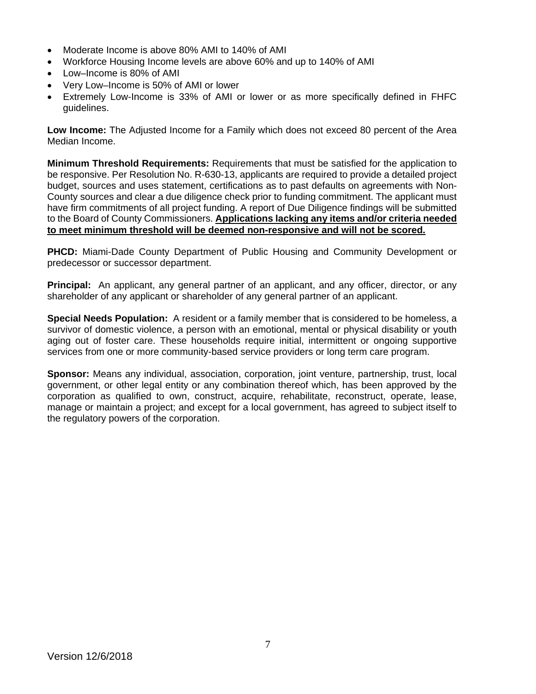- Moderate Income is above 80% AMI to 140% of AMI
- Workforce Housing Income levels are above 60% and up to 140% of AMI
- Low–Income is 80% of AMI
- Very Low–Income is 50% of AMI or lower
- Extremely Low-Income is 33% of AMI or lower or as more specifically defined in FHFC guidelines.

**Low Income:** The Adjusted Income for a Family which does not exceed 80 percent of the Area Median Income.

**Minimum Threshold Requirements:** Requirements that must be satisfied for the application to be responsive. Per Resolution No. R-630-13, applicants are required to provide a detailed project budget, sources and uses statement, certifications as to past defaults on agreements with Non-County sources and clear a due diligence check prior to funding commitment. The applicant must have firm commitments of all project funding. A report of Due Diligence findings will be submitted to the Board of County Commissioners. **Applications lacking any items and/or criteria needed to meet minimum threshold will be deemed non-responsive and will not be scored.** 

**PHCD:** Miami-Dade County Department of Public Housing and Community Development or predecessor or successor department.

**Principal:** An applicant, any general partner of an applicant, and any officer, director, or any shareholder of any applicant or shareholder of any general partner of an applicant.

**Special Needs Population:** A resident or a family member that is considered to be homeless, a survivor of domestic violence, a person with an emotional, mental or physical disability or youth aging out of foster care. These households require initial, intermittent or ongoing supportive services from one or more community-based service providers or long term care program.

**Sponsor:** Means any individual, association, corporation, joint venture, partnership, trust, local government, or other legal entity or any combination thereof which, has been approved by the corporation as qualified to own, construct, acquire, rehabilitate, reconstruct, operate, lease, manage or maintain a project; and except for a local government, has agreed to subject itself to the regulatory powers of the corporation.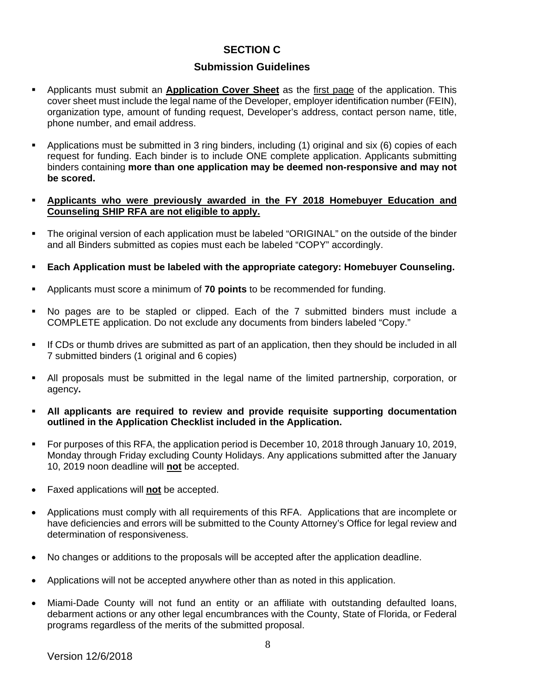## **SECTION C**

### **Submission Guidelines**

- Applicants must submit an **Application Cover Sheet** as the first page of the application. This cover sheet must include the legal name of the Developer, employer identification number (FEIN), organization type, amount of funding request, Developer's address, contact person name, title, phone number, and email address.
- Applications must be submitted in 3 ring binders, including (1) original and six (6) copies of each request for funding. Each binder is to include ONE complete application. Applicants submitting binders containing **more than one application may be deemed non-responsive and may not be scored.**
- **Applicants who were previously awarded in the FY 2018 Homebuyer Education and Counseling SHIP RFA are not eligible to apply.**
- The original version of each application must be labeled "ORIGINAL" on the outside of the binder and all Binders submitted as copies must each be labeled "COPY" accordingly.
- **Each Application must be labeled with the appropriate category: Homebuyer Counseling.**
- Applicants must score a minimum of **70 points** to be recommended for funding.
- No pages are to be stapled or clipped. Each of the 7 submitted binders must include a COMPLETE application. Do not exclude any documents from binders labeled "Copy."
- If CDs or thumb drives are submitted as part of an application, then they should be included in all 7 submitted binders (1 original and 6 copies)
- All proposals must be submitted in the legal name of the limited partnership, corporation, or agency**.**
- **All applicants are required to review and provide requisite supporting documentation outlined in the Application Checklist included in the Application.**
- For purposes of this RFA, the application period is December 10, 2018 through January 10, 2019, Monday through Friday excluding County Holidays. Any applications submitted after the January 10, 2019 noon deadline will **not** be accepted.
- Faxed applications will **not** be accepted.
- Applications must comply with all requirements of this RFA. Applications that are incomplete or have deficiencies and errors will be submitted to the County Attorney's Office for legal review and determination of responsiveness.
- No changes or additions to the proposals will be accepted after the application deadline.
- Applications will not be accepted anywhere other than as noted in this application.
- Miami-Dade County will not fund an entity or an affiliate with outstanding defaulted loans, debarment actions or any other legal encumbrances with the County, State of Florida, or Federal programs regardless of the merits of the submitted proposal.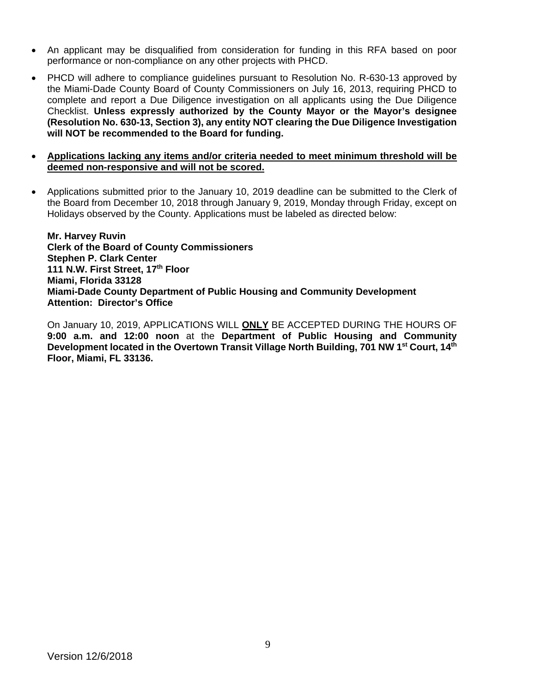- An applicant may be disqualified from consideration for funding in this RFA based on poor performance or non-compliance on any other projects with PHCD.
- PHCD will adhere to compliance guidelines pursuant to Resolution No. R-630-13 approved by the Miami-Dade County Board of County Commissioners on July 16, 2013, requiring PHCD to complete and report a Due Diligence investigation on all applicants using the Due Diligence Checklist. **Unless expressly authorized by the County Mayor or the Mayor's designee (Resolution No. 630-13, Section 3), any entity NOT clearing the Due Diligence Investigation will NOT be recommended to the Board for funding.**
- **Applications lacking any items and/or criteria needed to meet minimum threshold will be deemed non-responsive and will not be scored.**
- Applications submitted prior to the January 10, 2019 deadline can be submitted to the Clerk of the Board from December 10, 2018 through January 9, 2019, Monday through Friday, except on Holidays observed by the County. Applications must be labeled as directed below:

**Mr. Harvey Ruvin Clerk of the Board of County Commissioners Stephen P. Clark Center 111 N.W. First Street, 17th Floor Miami, Florida 33128 Miami-Dade County Department of Public Housing and Community Development Attention: Director's Office** 

On January 10, 2019, APPLICATIONS WILL **ONLY** BE ACCEPTED DURING THE HOURS OF **9:00 a.m. and 12:00 noon** at the **Department of Public Housing and Community**  Development located in the Overtown Transit Village North Building, 701 NW 1<sup>st</sup> Court, 14<sup>th</sup> **Floor, Miami, FL 33136.**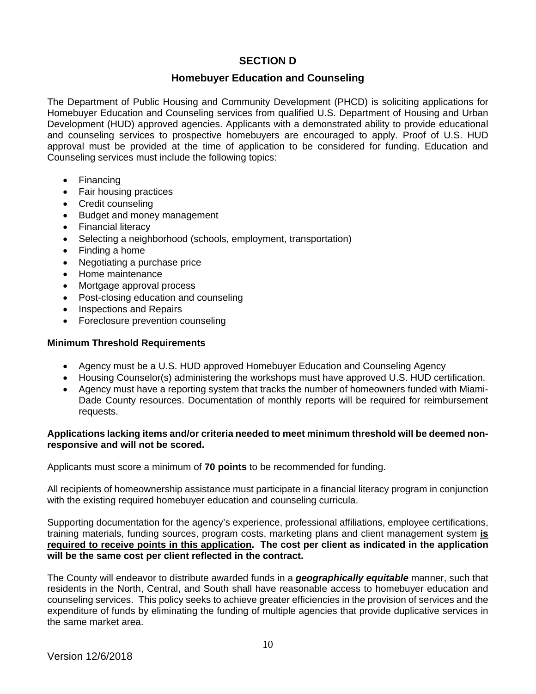# **SECTION D**

#### **Homebuyer Education and Counseling**

The Department of Public Housing and Community Development (PHCD) is soliciting applications for Homebuyer Education and Counseling services from qualified U.S. Department of Housing and Urban Development (HUD) approved agencies. Applicants with a demonstrated ability to provide educational and counseling services to prospective homebuyers are encouraged to apply. Proof of U.S. HUD approval must be provided at the time of application to be considered for funding. Education and Counseling services must include the following topics:

- Financing
- Fair housing practices
- Credit counseling
- Budget and money management
- Financial literacy
- Selecting a neighborhood (schools, employment, transportation)
- Finding a home
- Negotiating a purchase price
- Home maintenance
- Mortgage approval process
- Post-closing education and counseling
- Inspections and Repairs
- Foreclosure prevention counseling

#### **Minimum Threshold Requirements**

- Agency must be a U.S. HUD approved Homebuyer Education and Counseling Agency
- Housing Counselor(s) administering the workshops must have approved U.S. HUD certification.
- Agency must have a reporting system that tracks the number of homeowners funded with Miami-Dade County resources. Documentation of monthly reports will be required for reimbursement requests.

#### **Applications lacking items and/or criteria needed to meet minimum threshold will be deemed nonresponsive and will not be scored.**

Applicants must score a minimum of **70 points** to be recommended for funding.

All recipients of homeownership assistance must participate in a financial literacy program in conjunction with the existing required homebuyer education and counseling curricula.

Supporting documentation for the agency's experience, professional affiliations, employee certifications, training materials, funding sources, program costs, marketing plans and client management system **is required to receive points in this application. The cost per client as indicated in the application will be the same cost per client reflected in the contract.** 

The County will endeavor to distribute awarded funds in a *geographically equitable* manner, such that residents in the North, Central, and South shall have reasonable access to homebuyer education and counseling services. This policy seeks to achieve greater efficiencies in the provision of services and the expenditure of funds by eliminating the funding of multiple agencies that provide duplicative services in the same market area.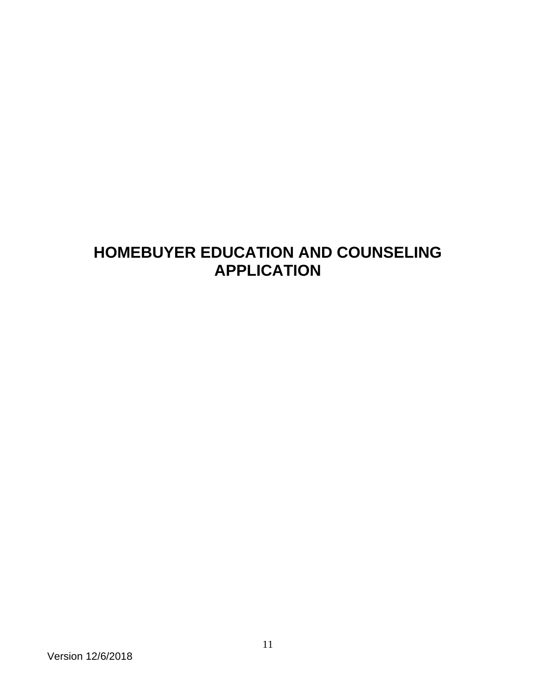# **HOMEBUYER EDUCATION AND COUNSELING APPLICATION**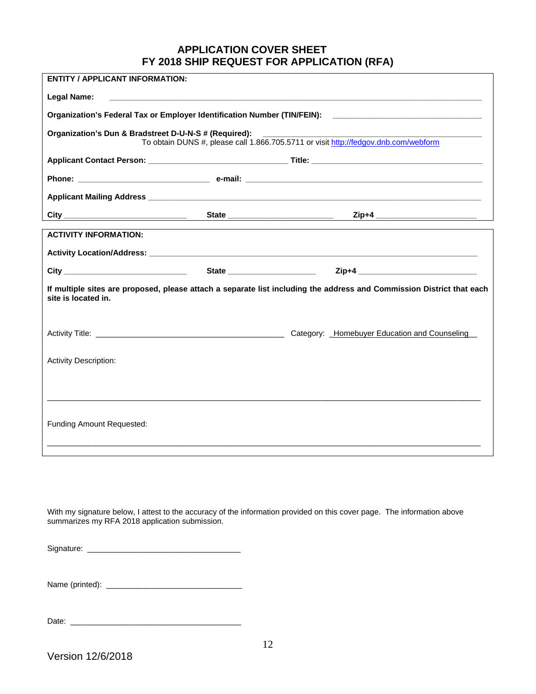### **APPLICATION COVER SHEET FY 2018 SHIP REQUEST FOR APPLICATION (RFA)**

| <b>ENTITY / APPLICANT INFORMATION:</b>                |                                       |                                                                                                                       |
|-------------------------------------------------------|---------------------------------------|-----------------------------------------------------------------------------------------------------------------------|
| Legal Name:                                           |                                       | <u> 1989 - Johann Johann Stoff, deutscher Stoffen und der Stoffen und der Stoffen und der Stoffen und der Stoffen</u> |
|                                                       |                                       | Organization's Federal Tax or Employer Identification Number (TIN/FEIN): ___________________________                  |
| Organization's Dun & Bradstreet D-U-N-S # (Required): | $\begin{array}{c} \hline \end{array}$ | To obtain DUNS #, please call 1.866.705.5711 or visit http://fedgov.dnb.com/webform                                   |
|                                                       |                                       |                                                                                                                       |
|                                                       |                                       |                                                                                                                       |
|                                                       |                                       |                                                                                                                       |
|                                                       |                                       |                                                                                                                       |
| <b>ACTIVITY INFORMATION:</b>                          |                                       |                                                                                                                       |
|                                                       |                                       |                                                                                                                       |
|                                                       |                                       | City _____________________________  State ____________________  Zip+4 _____________________________                   |
| site is located in.                                   |                                       | If multiple sites are proposed, please attach a separate list including the address and Commission District that each |
|                                                       |                                       | Category: _Homebuyer Education and Counseling_                                                                        |
| <b>Activity Description:</b>                          |                                       |                                                                                                                       |
|                                                       |                                       |                                                                                                                       |
|                                                       |                                       |                                                                                                                       |
| <b>Funding Amount Requested:</b>                      |                                       |                                                                                                                       |
|                                                       |                                       |                                                                                                                       |

With my signature below, I attest to the accuracy of the information provided on this cover page. The information above summarizes my RFA 2018 application submission.

| Signature: |  |
|------------|--|
|------------|--|

Name (printed): \_\_\_\_\_\_\_\_\_\_\_\_\_\_\_\_\_\_\_\_\_\_\_\_\_\_\_\_\_\_\_

Date: \_\_\_\_\_\_\_\_\_\_\_\_\_\_\_\_\_\_\_\_\_\_\_\_\_\_\_\_\_\_\_\_\_\_\_\_\_\_\_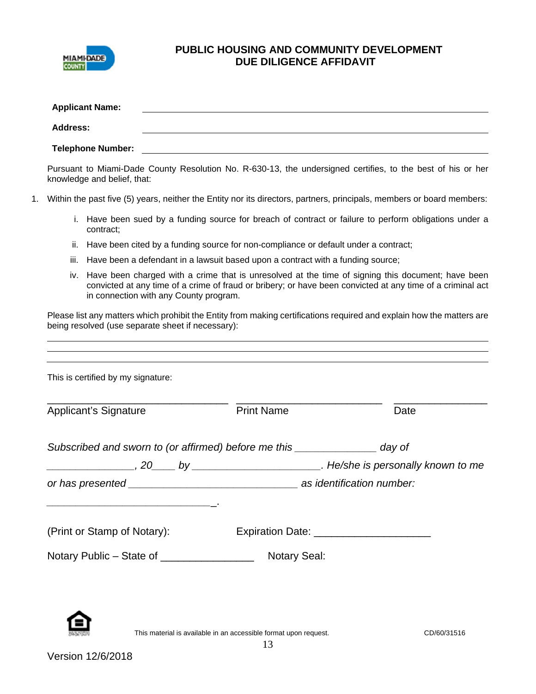

# **PUBLIC HOUSING AND COMMUNITY DEVELOPMENT DUE DILIGENCE AFFIDAVIT**

| <b>Address:</b><br><b>Telephone Number:</b><br><u>a sa barang ang pagbabang nagarang pang</u> alang na manang pangangang nagarang pangangang nagarang pangangang na<br>Pursuant to Miami-Dade County Resolution No. R-630-13, the undersigned certifies, to the best of his or her<br>knowledge and belief, that:<br>Within the past five (5) years, neither the Entity nor its directors, partners, principals, members or board members:<br>i. Have been sued by a funding source for breach of contract or failure to perform obligations under a<br>contract;<br>ii. Have been cited by a funding source for non-compliance or default under a contract;<br>Have been a defendant in a lawsuit based upon a contract with a funding source;<br>iii.<br>Have been charged with a crime that is unresolved at the time of signing this document; have been<br>İV.<br>convicted at any time of a crime of fraud or bribery; or have been convicted at any time of a criminal act<br>in connection with any County program.<br>Please list any matters which prohibit the Entity from making certifications required and explain how the matters are<br>being resolved (use separate sheet if necessary):<br>This is certified by my signature:<br><b>Print Name</b><br><b>Applicant's Signature</b><br>Date<br>Subscribed and sworn to (or affirmed) before me this _______________ day of<br>. He/she is personally known to me example the space of the space of the space of the space of the space of the space of the space of the space of the space of the space of the space of the space of the space of the space<br>(Print or Stamp of Notary):<br>Expiration Date: _______________________<br>Notary Public - State of _________________<br><b>Notary Seal:</b> |                                                                                  | <b>Applicant Name:</b> |  |  |  |  |  |
|------------------------------------------------------------------------------------------------------------------------------------------------------------------------------------------------------------------------------------------------------------------------------------------------------------------------------------------------------------------------------------------------------------------------------------------------------------------------------------------------------------------------------------------------------------------------------------------------------------------------------------------------------------------------------------------------------------------------------------------------------------------------------------------------------------------------------------------------------------------------------------------------------------------------------------------------------------------------------------------------------------------------------------------------------------------------------------------------------------------------------------------------------------------------------------------------------------------------------------------------------------------------------------------------------------------------------------------------------------------------------------------------------------------------------------------------------------------------------------------------------------------------------------------------------------------------------------------------------------------------------------------------------------------------------------------------------------------------------------------------------------------------------|----------------------------------------------------------------------------------|------------------------|--|--|--|--|--|
|                                                                                                                                                                                                                                                                                                                                                                                                                                                                                                                                                                                                                                                                                                                                                                                                                                                                                                                                                                                                                                                                                                                                                                                                                                                                                                                                                                                                                                                                                                                                                                                                                                                                                                                                                                              | ,我们也不会有一个人的人,我们也不会有一个人的人,我们也不会有一个人的人。""我们,我们也不会有一个人的人,我们也不会有一个人的人。""我们,我们也不会有一个人 |                        |  |  |  |  |  |
|                                                                                                                                                                                                                                                                                                                                                                                                                                                                                                                                                                                                                                                                                                                                                                                                                                                                                                                                                                                                                                                                                                                                                                                                                                                                                                                                                                                                                                                                                                                                                                                                                                                                                                                                                                              |                                                                                  |                        |  |  |  |  |  |
|                                                                                                                                                                                                                                                                                                                                                                                                                                                                                                                                                                                                                                                                                                                                                                                                                                                                                                                                                                                                                                                                                                                                                                                                                                                                                                                                                                                                                                                                                                                                                                                                                                                                                                                                                                              |                                                                                  |                        |  |  |  |  |  |
|                                                                                                                                                                                                                                                                                                                                                                                                                                                                                                                                                                                                                                                                                                                                                                                                                                                                                                                                                                                                                                                                                                                                                                                                                                                                                                                                                                                                                                                                                                                                                                                                                                                                                                                                                                              | 1.                                                                               |                        |  |  |  |  |  |
|                                                                                                                                                                                                                                                                                                                                                                                                                                                                                                                                                                                                                                                                                                                                                                                                                                                                                                                                                                                                                                                                                                                                                                                                                                                                                                                                                                                                                                                                                                                                                                                                                                                                                                                                                                              |                                                                                  |                        |  |  |  |  |  |
|                                                                                                                                                                                                                                                                                                                                                                                                                                                                                                                                                                                                                                                                                                                                                                                                                                                                                                                                                                                                                                                                                                                                                                                                                                                                                                                                                                                                                                                                                                                                                                                                                                                                                                                                                                              |                                                                                  |                        |  |  |  |  |  |
|                                                                                                                                                                                                                                                                                                                                                                                                                                                                                                                                                                                                                                                                                                                                                                                                                                                                                                                                                                                                                                                                                                                                                                                                                                                                                                                                                                                                                                                                                                                                                                                                                                                                                                                                                                              |                                                                                  |                        |  |  |  |  |  |
|                                                                                                                                                                                                                                                                                                                                                                                                                                                                                                                                                                                                                                                                                                                                                                                                                                                                                                                                                                                                                                                                                                                                                                                                                                                                                                                                                                                                                                                                                                                                                                                                                                                                                                                                                                              |                                                                                  |                        |  |  |  |  |  |
|                                                                                                                                                                                                                                                                                                                                                                                                                                                                                                                                                                                                                                                                                                                                                                                                                                                                                                                                                                                                                                                                                                                                                                                                                                                                                                                                                                                                                                                                                                                                                                                                                                                                                                                                                                              |                                                                                  |                        |  |  |  |  |  |
|                                                                                                                                                                                                                                                                                                                                                                                                                                                                                                                                                                                                                                                                                                                                                                                                                                                                                                                                                                                                                                                                                                                                                                                                                                                                                                                                                                                                                                                                                                                                                                                                                                                                                                                                                                              |                                                                                  |                        |  |  |  |  |  |
|                                                                                                                                                                                                                                                                                                                                                                                                                                                                                                                                                                                                                                                                                                                                                                                                                                                                                                                                                                                                                                                                                                                                                                                                                                                                                                                                                                                                                                                                                                                                                                                                                                                                                                                                                                              |                                                                                  |                        |  |  |  |  |  |
|                                                                                                                                                                                                                                                                                                                                                                                                                                                                                                                                                                                                                                                                                                                                                                                                                                                                                                                                                                                                                                                                                                                                                                                                                                                                                                                                                                                                                                                                                                                                                                                                                                                                                                                                                                              |                                                                                  |                        |  |  |  |  |  |
|                                                                                                                                                                                                                                                                                                                                                                                                                                                                                                                                                                                                                                                                                                                                                                                                                                                                                                                                                                                                                                                                                                                                                                                                                                                                                                                                                                                                                                                                                                                                                                                                                                                                                                                                                                              |                                                                                  |                        |  |  |  |  |  |
|                                                                                                                                                                                                                                                                                                                                                                                                                                                                                                                                                                                                                                                                                                                                                                                                                                                                                                                                                                                                                                                                                                                                                                                                                                                                                                                                                                                                                                                                                                                                                                                                                                                                                                                                                                              |                                                                                  |                        |  |  |  |  |  |
|                                                                                                                                                                                                                                                                                                                                                                                                                                                                                                                                                                                                                                                                                                                                                                                                                                                                                                                                                                                                                                                                                                                                                                                                                                                                                                                                                                                                                                                                                                                                                                                                                                                                                                                                                                              |                                                                                  |                        |  |  |  |  |  |
|                                                                                                                                                                                                                                                                                                                                                                                                                                                                                                                                                                                                                                                                                                                                                                                                                                                                                                                                                                                                                                                                                                                                                                                                                                                                                                                                                                                                                                                                                                                                                                                                                                                                                                                                                                              |                                                                                  |                        |  |  |  |  |  |
|                                                                                                                                                                                                                                                                                                                                                                                                                                                                                                                                                                                                                                                                                                                                                                                                                                                                                                                                                                                                                                                                                                                                                                                                                                                                                                                                                                                                                                                                                                                                                                                                                                                                                                                                                                              |                                                                                  |                        |  |  |  |  |  |
|                                                                                                                                                                                                                                                                                                                                                                                                                                                                                                                                                                                                                                                                                                                                                                                                                                                                                                                                                                                                                                                                                                                                                                                                                                                                                                                                                                                                                                                                                                                                                                                                                                                                                                                                                                              |                                                                                  |                        |  |  |  |  |  |



This material is available in an accessible format upon request.<br>
This material is available in an accessible format upon request.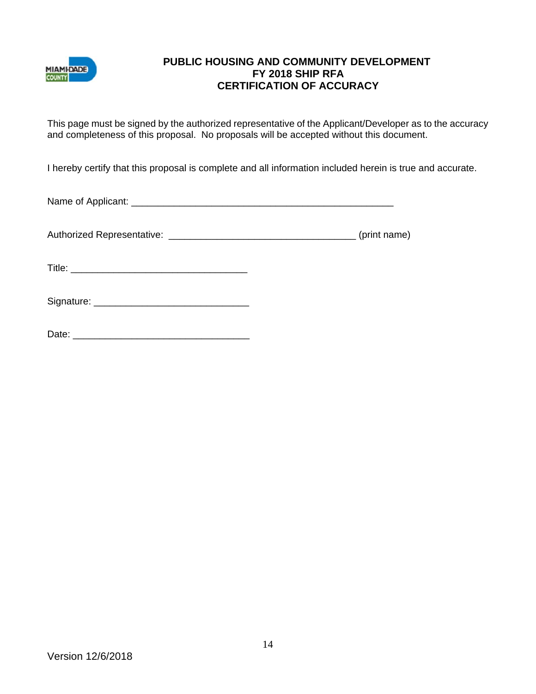

### **PUBLIC HOUSING AND COMMUNITY DEVELOPMENT FY 2018 SHIP RFA CERTIFICATION OF ACCURACY**

This page must be signed by the authorized representative of the Applicant/Developer as to the accuracy and completeness of this proposal. No proposals will be accepted without this document.

I hereby certify that this proposal is complete and all information included herein is true and accurate.

Name of Applicant: \_\_\_\_\_\_\_\_\_\_\_\_\_\_\_\_\_\_\_\_\_\_\_\_\_\_\_\_\_\_\_\_\_\_\_\_\_\_\_\_\_\_\_\_\_\_\_\_\_

Authorized Representative: \_\_\_\_\_\_\_\_\_\_\_\_\_\_\_\_\_\_\_\_\_\_\_\_\_\_\_\_\_\_\_\_\_\_\_ (print name)

Title: \_\_\_\_\_\_\_\_\_\_\_\_\_\_\_\_\_\_\_\_\_\_\_\_\_\_\_\_\_\_\_\_\_

| Signature: |  |
|------------|--|
|            |  |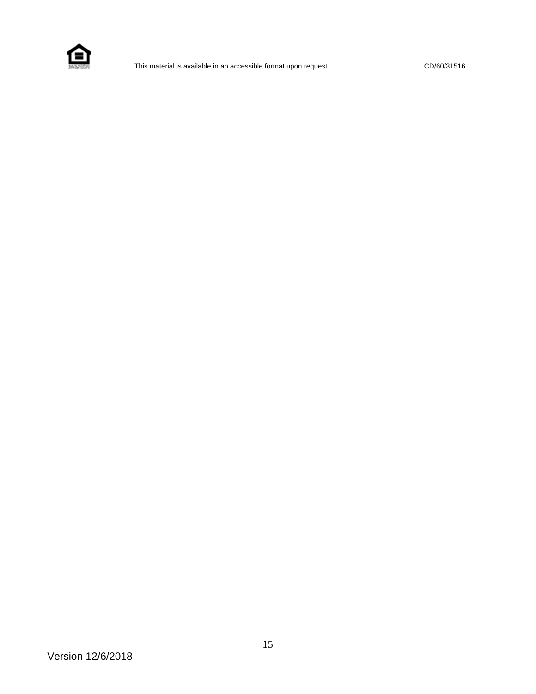

This material is available in an accessible format upon request. CD/60/31516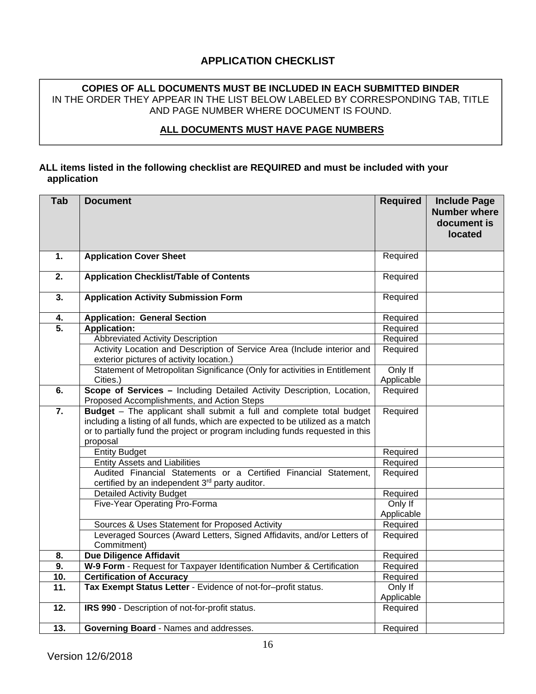# **APPLICATION CHECKLIST**

#### **COPIES OF ALL DOCUMENTS MUST BE INCLUDED IN EACH SUBMITTED BINDER**  IN THE ORDER THEY APPEAR IN THE LIST BELOW LABELED BY CORRESPONDING TAB, TITLE AND PAGE NUMBER WHERE DOCUMENT IS FOUND.

#### **ALL DOCUMENTS MUST HAVE PAGE NUMBERS**

#### **ALL items listed in the following checklist are REQUIRED and must be included with your application**

| Tab               | <b>Document</b>                                                                                                                                                                                                                                     | <b>Required</b>       | <b>Include Page</b><br><b>Number where</b><br>document is<br>located |
|-------------------|-----------------------------------------------------------------------------------------------------------------------------------------------------------------------------------------------------------------------------------------------------|-----------------------|----------------------------------------------------------------------|
| 1.                | <b>Application Cover Sheet</b>                                                                                                                                                                                                                      | Required              |                                                                      |
| $\overline{2}$ .  | <b>Application Checklist/Table of Contents</b>                                                                                                                                                                                                      | Required              |                                                                      |
| 3.                | <b>Application Activity Submission Form</b>                                                                                                                                                                                                         | Required              |                                                                      |
| 4.                | <b>Application: General Section</b>                                                                                                                                                                                                                 | Required              |                                                                      |
| $\overline{5}$ .  | <b>Application:</b>                                                                                                                                                                                                                                 | Required              |                                                                      |
|                   | <b>Abbreviated Activity Description</b>                                                                                                                                                                                                             | Required              |                                                                      |
|                   | Activity Location and Description of Service Area (Include interior and<br>exterior pictures of activity location.)                                                                                                                                 | Required              |                                                                      |
|                   | Statement of Metropolitan Significance (Only for activities in Entitlement                                                                                                                                                                          | Only If               |                                                                      |
|                   | Cities.)                                                                                                                                                                                                                                            | Applicable            |                                                                      |
| 6.                | Scope of Services - Including Detailed Activity Description, Location,<br>Proposed Accomplishments, and Action Steps                                                                                                                                | Required              |                                                                      |
| $\overline{7}$ .  | Budget - The applicant shall submit a full and complete total budget<br>including a listing of all funds, which are expected to be utilized as a match<br>or to partially fund the project or program including funds requested in this<br>proposal | Required              |                                                                      |
|                   | <b>Entity Budget</b>                                                                                                                                                                                                                                | Required              |                                                                      |
|                   | <b>Entity Assets and Liabilities</b>                                                                                                                                                                                                                | Required              |                                                                      |
|                   | Audited Financial Statements or a Certified Financial Statement,<br>certified by an independent 3rd party auditor.                                                                                                                                  | Required              |                                                                      |
|                   | <b>Detailed Activity Budget</b>                                                                                                                                                                                                                     | Required              |                                                                      |
|                   | Five-Year Operating Pro-Forma                                                                                                                                                                                                                       | Only If<br>Applicable |                                                                      |
|                   | Sources & Uses Statement for Proposed Activity                                                                                                                                                                                                      | Required              |                                                                      |
|                   | Leveraged Sources (Award Letters, Signed Affidavits, and/or Letters of<br>Commitment)                                                                                                                                                               | Required              |                                                                      |
| 8.                | <b>Due Diligence Affidavit</b>                                                                                                                                                                                                                      | Required              |                                                                      |
| 9.                | W-9 Form - Request for Taxpayer Identification Number & Certification                                                                                                                                                                               | Required              |                                                                      |
| 10.               | <b>Certification of Accuracy</b>                                                                                                                                                                                                                    | Required              |                                                                      |
| $\overline{11}$ . | Tax Exempt Status Letter - Evidence of not-for-profit status.                                                                                                                                                                                       | Only If<br>Applicable |                                                                      |
| 12.               | IRS 990 - Description of not-for-profit status.                                                                                                                                                                                                     | Required              |                                                                      |
| 13.               | Governing Board - Names and addresses.                                                                                                                                                                                                              | Required              |                                                                      |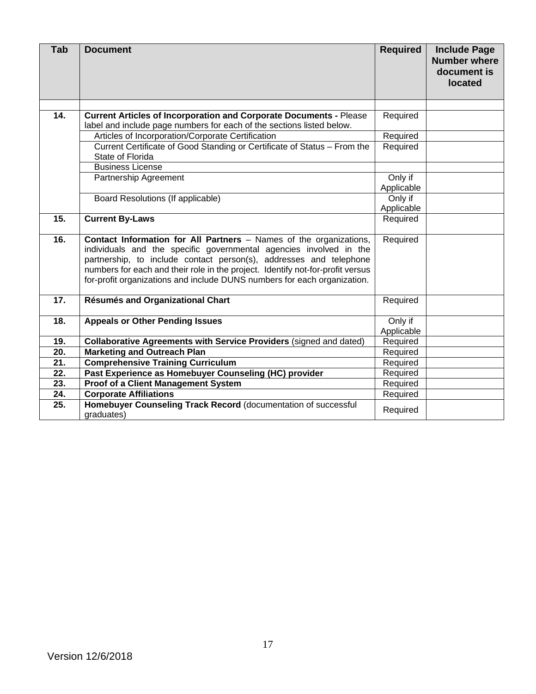| Tab | <b>Document</b>                                                                                                                                                                                                                                                                                                                                                              | <b>Required</b>       | <b>Include Page</b><br><b>Number where</b><br>document is<br><b>located</b> |
|-----|------------------------------------------------------------------------------------------------------------------------------------------------------------------------------------------------------------------------------------------------------------------------------------------------------------------------------------------------------------------------------|-----------------------|-----------------------------------------------------------------------------|
|     |                                                                                                                                                                                                                                                                                                                                                                              |                       |                                                                             |
| 14. | <b>Current Articles of Incorporation and Corporate Documents - Please</b><br>label and include page numbers for each of the sections listed below.                                                                                                                                                                                                                           | Required              |                                                                             |
|     | Articles of Incorporation/Corporate Certification                                                                                                                                                                                                                                                                                                                            | Required              |                                                                             |
|     | Current Certificate of Good Standing or Certificate of Status - From the<br>State of Florida                                                                                                                                                                                                                                                                                 | Required              |                                                                             |
|     | <b>Business License</b>                                                                                                                                                                                                                                                                                                                                                      |                       |                                                                             |
|     | Partnership Agreement                                                                                                                                                                                                                                                                                                                                                        | Only if               |                                                                             |
|     |                                                                                                                                                                                                                                                                                                                                                                              | Applicable            |                                                                             |
|     | Board Resolutions (If applicable)                                                                                                                                                                                                                                                                                                                                            | Only if               |                                                                             |
|     |                                                                                                                                                                                                                                                                                                                                                                              | Applicable            |                                                                             |
| 15. | <b>Current By-Laws</b>                                                                                                                                                                                                                                                                                                                                                       | Required              |                                                                             |
| 16. | Contact Information for All Partners - Names of the organizations,<br>individuals and the specific governmental agencies involved in the<br>partnership, to include contact person(s), addresses and telephone<br>numbers for each and their role in the project. Identify not-for-profit versus<br>for-profit organizations and include DUNS numbers for each organization. | Required              |                                                                             |
| 17. | Résumés and Organizational Chart                                                                                                                                                                                                                                                                                                                                             | Required              |                                                                             |
| 18. | <b>Appeals or Other Pending Issues</b>                                                                                                                                                                                                                                                                                                                                       | Only if<br>Applicable |                                                                             |
| 19. | Collaborative Agreements with Service Providers (signed and dated)                                                                                                                                                                                                                                                                                                           | Required              |                                                                             |
| 20. | <b>Marketing and Outreach Plan</b>                                                                                                                                                                                                                                                                                                                                           | Required              |                                                                             |
| 21. | <b>Comprehensive Training Curriculum</b>                                                                                                                                                                                                                                                                                                                                     | Required              |                                                                             |
| 22. | Past Experience as Homebuyer Counseling (HC) provider                                                                                                                                                                                                                                                                                                                        | Required              |                                                                             |
| 23. | <b>Proof of a Client Management System</b>                                                                                                                                                                                                                                                                                                                                   | Required              |                                                                             |
| 24. | <b>Corporate Affiliations</b>                                                                                                                                                                                                                                                                                                                                                | Required              |                                                                             |
| 25. | Homebuyer Counseling Track Record (documentation of successful<br>graduates)                                                                                                                                                                                                                                                                                                 | Required              |                                                                             |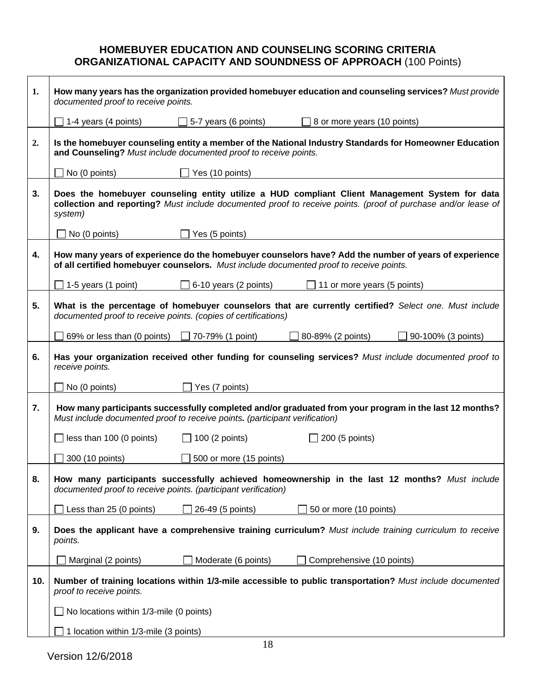# **HOMEBUYER EDUCATION AND COUNSELING SCORING CRITERIA ORGANIZATIONAL CAPACITY AND SOUNDNESS OF APPROACH** (100 Points)

| 1.  | documented proof to receive points.                                         |                                                     | How many years has the organization provided homebuyer education and counseling services? Must provide                                                                                                          |
|-----|-----------------------------------------------------------------------------|-----------------------------------------------------|-----------------------------------------------------------------------------------------------------------------------------------------------------------------------------------------------------------------|
|     | 1-4 years (4 points)                                                        | 5-7 years (6 points)                                | 8 or more years (10 points)                                                                                                                                                                                     |
| 2.  | and Counseling? Must include documented proof to receive points.            |                                                     | Is the homebuyer counseling entity a member of the National Industry Standards for Homeowner Education                                                                                                          |
|     | No (0 points)                                                               | $\Box$ Yes (10 points)                              |                                                                                                                                                                                                                 |
| 3.  | system)                                                                     |                                                     | Does the homebuyer counseling entity utilize a HUD compliant Client Management System for data<br>collection and reporting? Must include documented proof to receive points. (proof of purchase and/or lease of |
|     | No (0 points)                                                               | $\Box$ Yes (5 points)                               |                                                                                                                                                                                                                 |
| 4.  |                                                                             |                                                     | How many years of experience do the homebuyer counselors have? Add the number of years of experience<br>of all certified homebuyer counselors. Must include documented proof to receive points.                 |
|     | $\Box$ 1-5 years (1 point)                                                  | 6-10 years (2 points)                               | $\Box$ 11 or more years (5 points)                                                                                                                                                                              |
| 5.  | documented proof to receive points. (copies of certifications)              |                                                     | What is the percentage of homebuyer counselors that are currently certified? Select one. Must include                                                                                                           |
|     |                                                                             | 69% or less than (0 points) $\Box$ 70-79% (1 point) | 80-89% (2 points)<br>90-100% (3 points)                                                                                                                                                                         |
| 6.  | receive points.                                                             |                                                     | Has your organization received other funding for counseling services? Must include documented proof to                                                                                                          |
|     | No (0 points)                                                               | Yes (7 points)                                      |                                                                                                                                                                                                                 |
| 7.  | Must include documented proof to receive points. (participant verification) |                                                     | How many participants successfully completed and/or graduated from your program in the last 12 months?                                                                                                          |
|     | $\Box$ less than 100 (0 points)                                             | $\Box$ 100 (2 points)                               | $\Box$ 200 (5 points)                                                                                                                                                                                           |
|     | 300 (10 points)                                                             | 500 or more (15 points)                             |                                                                                                                                                                                                                 |
| 8.  | documented proof to receive points. (participant verification)              |                                                     | How many participants successfully achieved homeownership in the last 12 months? Must include                                                                                                                   |
|     | Less than 25 (0 points)                                                     | 26-49 (5 points)                                    | 50 or more (10 points)                                                                                                                                                                                          |
| 9.  | points.                                                                     |                                                     | Does the applicant have a comprehensive training curriculum? Must include training curriculum to receive                                                                                                        |
|     | Marginal (2 points)                                                         | Moderate (6 points)                                 | Comprehensive (10 points)                                                                                                                                                                                       |
| 10. | proof to receive points.                                                    |                                                     | Number of training locations within 1/3-mile accessible to public transportation? Must include documented                                                                                                       |
|     | No locations within 1/3-mile (0 points)                                     |                                                     |                                                                                                                                                                                                                 |
|     | 1 location within 1/3-mile (3 points)                                       |                                                     |                                                                                                                                                                                                                 |

 $\mathbf{r}$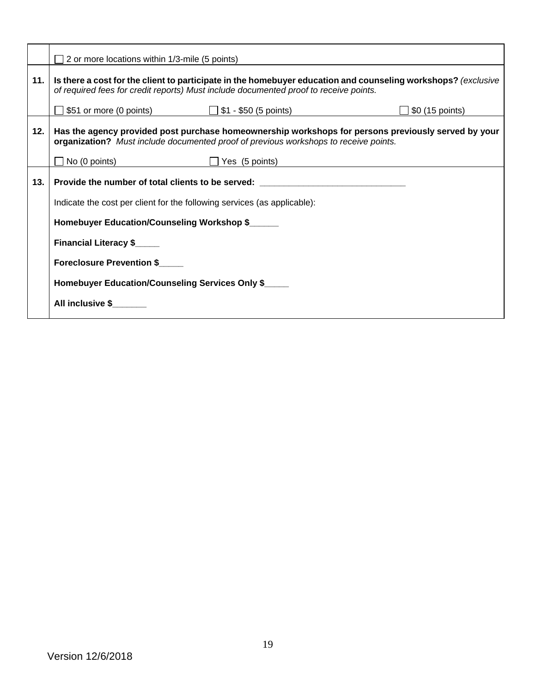| $\Box$ 2 or more locations within 1/3-mile (5 points)                                                                                                                                                  |
|--------------------------------------------------------------------------------------------------------------------------------------------------------------------------------------------------------|
| Is there a cost for the client to participate in the homebuyer education and counseling workshops? (exclusive<br>of required fees for credit reports) Must include documented proof to receive points. |
| \$51 or more (0 points) $31 - 50$ (5 points)<br>\$0 (15 points)                                                                                                                                        |
| Has the agency provided post purchase homeownership workshops for persons previously served by your<br>organization? Must include documented proof of previous workshops to receive points.            |
| $\Box$ No (0 points)<br>$\Box$ Yes (5 points)                                                                                                                                                          |
|                                                                                                                                                                                                        |
| Indicate the cost per client for the following services (as applicable):                                                                                                                               |
| Homebuyer Education/Counseling Workshop \$                                                                                                                                                             |
| <b>Financial Literacy \$_____</b>                                                                                                                                                                      |
| Foreclosure Prevention \$                                                                                                                                                                              |
| Homebuyer Education/Counseling Services Only \$                                                                                                                                                        |
| <b>All inclusive \$</b>                                                                                                                                                                                |
|                                                                                                                                                                                                        |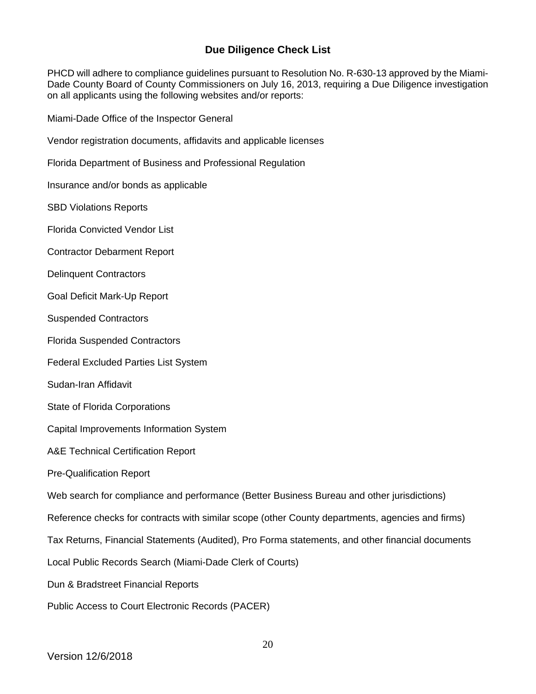## **Due Diligence Check List**

PHCD will adhere to compliance guidelines pursuant to Resolution No. R-630-13 approved by the Miami-Dade County Board of County Commissioners on July 16, 2013, requiring a Due Diligence investigation on all applicants using the following websites and/or reports:

Miami-Dade Office of the Inspector General

Vendor registration documents, affidavits and applicable licenses

Florida Department of Business and Professional Regulation

Insurance and/or bonds as applicable

SBD Violations Reports

Florida Convicted Vendor List

Contractor Debarment Report

Delinquent Contractors

Goal Deficit Mark-Up Report

Suspended Contractors

Florida Suspended Contractors

Federal Excluded Parties List System

- Sudan-Iran Affidavit
- State of Florida Corporations

Capital Improvements Information System

A&E Technical Certification Report

Pre-Qualification Report

Web search for compliance and performance (Better Business Bureau and other jurisdictions)

Reference checks for contracts with similar scope (other County departments, agencies and firms)

Tax Returns, Financial Statements (Audited), Pro Forma statements, and other financial documents

Local Public Records Search (Miami-Dade Clerk of Courts)

Dun & Bradstreet Financial Reports

Public Access to Court Electronic Records (PACER)